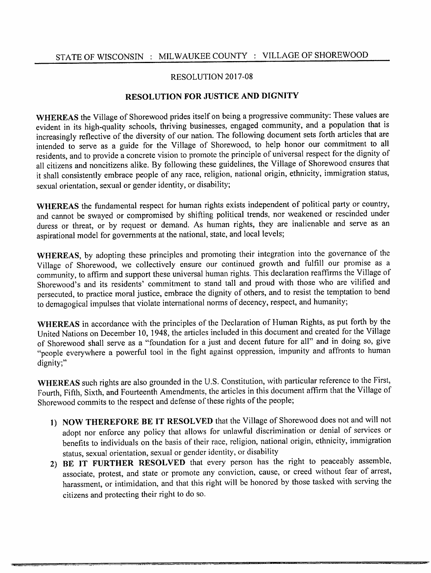## RESOLUTION 2017-08

## RESOLUTION FOR JUSTICE AND DIGNITY

WHEREAS the Village of Shorewood prides itself on being a progressive community: These values are evident in its high-quality schools, thriving businesses, engaged community, and a population that is increasingly reflective of the diversity of our nation. The following document sets forth articles that are intended to serve as guide for the Village of Shorewood, to help honor our commitment to all residents, and to provide a concrete vision to promote the principle of universal respect for the dignity of all citizens and noncitizens alike. By following these guidelines, the Village of Shorewood ensures that it shall consistently embrace people of any race, religion, national origin, ethnicity, immigration status, sexual orientation, sexual or gender identity, or disability;

WHEREAS the fundamental respect for human rights exists independent of political party or country, and cannot be swayed or compromised by shifting political trends, nor weakened or rescinded under duress or threat, or by request or demand. As human rights, they are inalienable and serve as an aspirational model for governments at the national, state, and local levels;

WHEREAS, by adopting these principles and promoting their integration into the governance of the Village of Shorewood, we collectively ensure our continued growth and fulfill our promise as a community, to affirm and support these universal human rights. This declaration reaffirms the Village of Shorewood's and its residents' commitment to stand tall and proud with those who are vilified and persecuted, to practice moral justice, embrace the dignity of others, and to resist the temptation to bend to demagogical impulses that violate international norms of decency, respect, and humanity;

WHEREAS in accordance with the principles of the Declaration of Human Rights, as put forth by the United Nations on December 10, 1948, the articles included in this document and created for the Village of Shorewood shall serve as a "foundation for a just and decent future for all" and in doing so, give "people everywhere a powerful tool in the fight against oppression, impunity and affronts to human dignity;"

WHEREAS such rights are also grounded in the U.S. Constitution, with particular reference to the First, Fourth, Fifth, Sixth, and Fourteenth Amendments, the articles in this document affirm that the Village of Shorewood commits to the respect and defense of these rights of the people;

- 1) NOW THEREFORE BE IT RESOLVED that the Village of Shorewood does not and will not adopt nor enforce any policy that allows for unlawful discrimination or denial of services or benefits to individuals on the basis of their race, religion, national origin, ethnicity, immigration status, sexual orientation, sexual or gender identity, or disability
- 2) BE IT FURTHER RESOLVED that every person has the right to peaceably assemble, associate, protest, and state or promote any conviction, cause, or creed without fear of arrest, harassment, or intimidation, and that this right will be honored by those tasked with serving the citizens and protecting their right to do so.